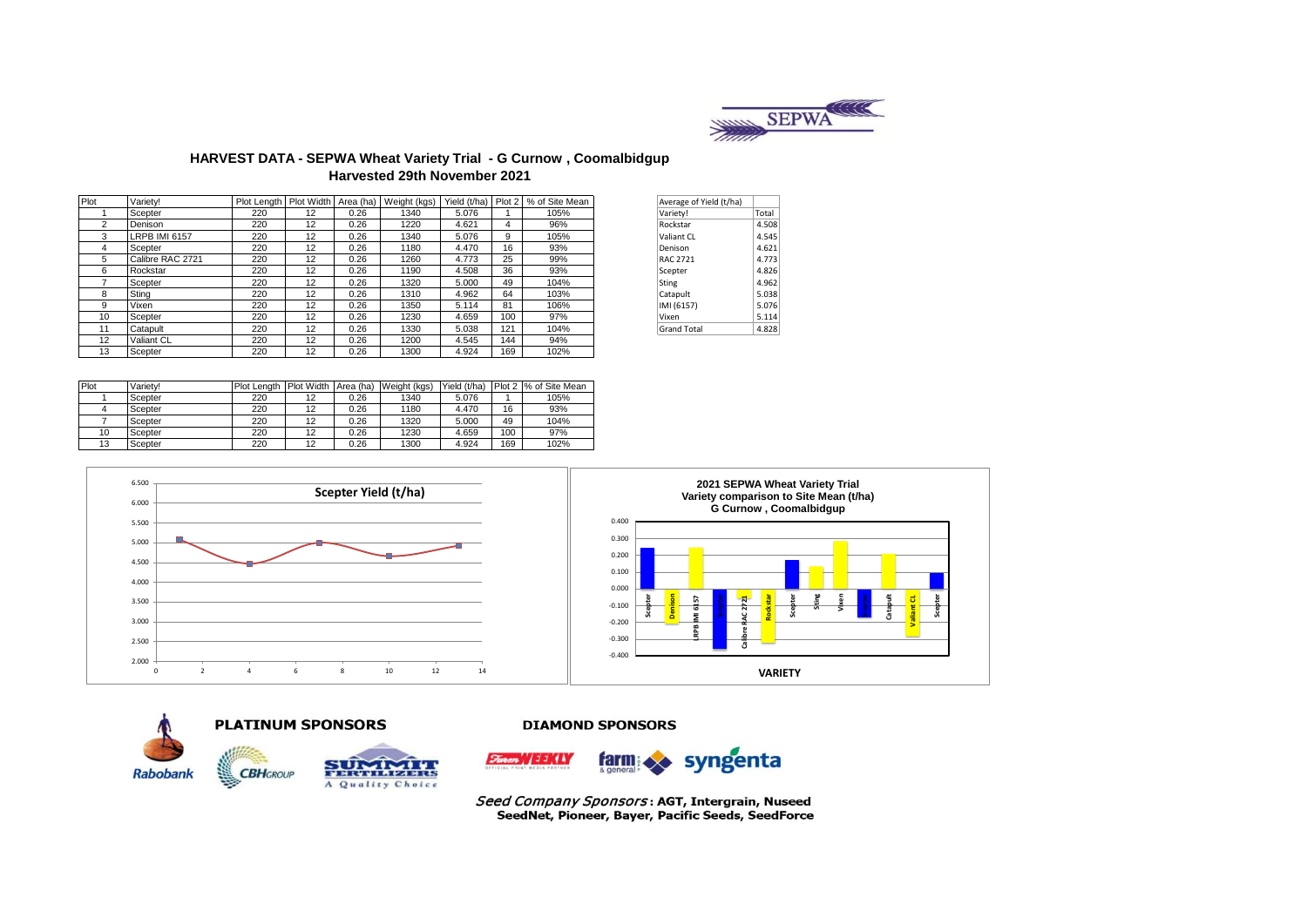

### **HARVEST DATA - SEPWA Wheat Variety Trial - G Curnow , Coomalbidgup Harvested 29th November 2021**

| Plot | Varietv!         | Plot Length   Plot Width   Area (ha) |    |      | Weight (kgs) | Yield (t/ha) Plot 2 |     | % of Site Mean | Average of Yield (t/ha) |       |
|------|------------------|--------------------------------------|----|------|--------------|---------------------|-----|----------------|-------------------------|-------|
|      | Scepter          | 220                                  | 12 | 0.26 | 1340         | 5.076               |     | 105%           | Variety!                | Total |
| 2    | Denison          | 220                                  | 12 | 0.26 | 1220         | 4.621               | 4   | 96%            | Rockstar                | 4.508 |
| 3    | LRPB IMI 6157    | 220                                  | 12 | 0.26 | 1340         | 5.076               | 9   | 105%           | Valiant CL              | 4.545 |
| 4    | Scepter          | 220                                  | 12 | 0.26 | 1180         | 4.470               | 16  | 93%            | Denison                 | 4.621 |
| 5    | Calibre RAC 2721 | 220                                  | 12 | 0.26 | 1260         | 4.773               | 25  | 99%            | <b>RAC 2721</b>         | 4.773 |
| 6    | Rockstar         | 220                                  | 12 | 0.26 | 1190         | 4.508               | 36  | 93%            | Scepter                 | 4.826 |
|      | Scepter          | 220                                  | 12 | 0.26 | 1320         | 5.000               | 49  | 104%           | Sting                   | 4.962 |
| 8    | Sting            | 220                                  | 12 | 0.26 | 1310         | 4.962               | 64  | 103%           | Catapult                | 5.038 |
| 9    | Vixen            | 220                                  | 12 | 0.26 | 1350         | 5.114               | 81  | 106%           | IMI (6157)              | 5.076 |
| 10   | Scepter          | 220                                  | 12 | 0.26 | 1230         | 4.659               | 100 | 97%            | Vixen                   | 5.114 |
| 11   | Catapult         | 220                                  | 12 | 0.26 | 1330         | 5.038               | 121 | 104%           | <b>Grand Total</b>      | 4.828 |
| 12   | Valiant CL       | 220                                  | 12 | 0.26 | 1200         | 4.545               | 144 | 94%            |                         |       |
| 13   | Scepter          | 220                                  | 12 | 0.26 | 1300         | 4.924               | 169 | 102%           |                         |       |

| Average of Yield (t/ha) |       |
|-------------------------|-------|
| Variety!                | Total |
| Rockstar                | 4.508 |
| Valiant CL              | 4.545 |
| Denison                 | 4.621 |
| RAC 2721                | 4.773 |
| Scepter                 | 4.826 |
| Sting                   | 4.962 |
| Catapult                | 5.038 |
| IMI (6157)              | 5.076 |
| Vixen                   | 5.114 |
| <b>Grand Total</b>      | 4.828 |

| Plot | Varietv! | Plot Lenath | <b>Plot Width</b> | Area (ha) | Weight (kgs) | Yield (t/ha) |     | Plot 2 % of Site Mean |
|------|----------|-------------|-------------------|-----------|--------------|--------------|-----|-----------------------|
|      | Scepter  | 220         | 12                | 0.26      | 1340         | 5.076        |     | 105%                  |
|      | Scepter  | 220         | 12                | 0.26      | 1180         | 4.470        | 16  | 93%                   |
|      | Scepter  | 220         | 12                | 0.26      | 1320         | 5.000        | 49  | 104%                  |
| 10   | Scepter  | 220         | 12                | 0.26      | 1230         | 4.659        | 100 | 97%                   |
| 13   | Scepter  | 220         | 12                | 0.26      | 1300         | 4.924        | 169 | 102%                  |









Seed Company Sponsors: AGT, Intergrain, Nuseed SeedNet, Pioneer, Bayer, Pacific Seeds, SeedForce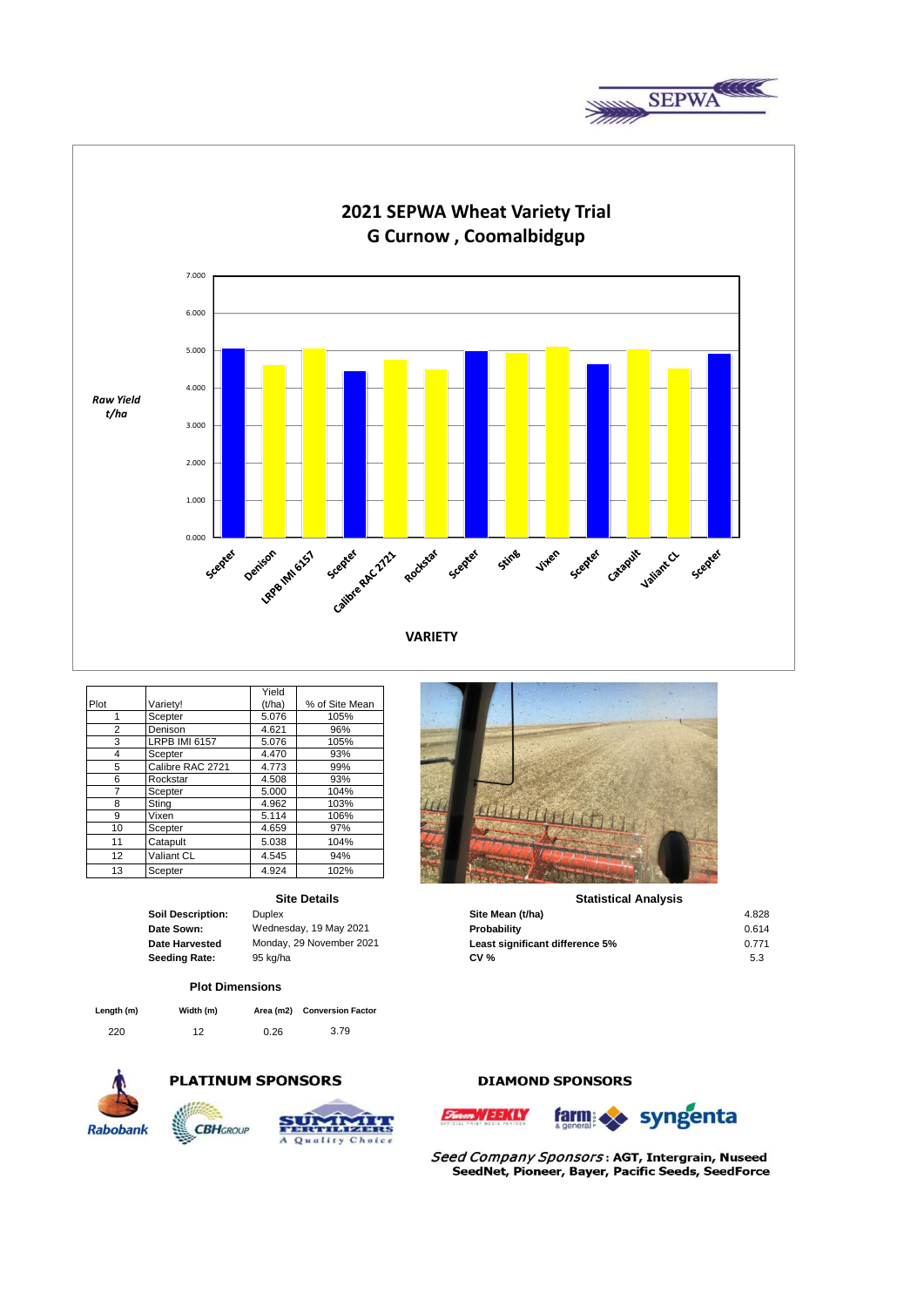



|                 |                      | Yield  |                |
|-----------------|----------------------|--------|----------------|
| Plot            | Varietv!             | (t/ha) | % of Site Mean |
|                 | Scepter              | 5.076  | 105%           |
| 2               | Denison              | 4.621  | 96%            |
| 3               | <b>LRPB IMI 6157</b> | 5.076  | 105%           |
| 4               | Scepter              | 4.470  | 93%            |
| 5               | Calibre RAC 2721     | 4.773  | 99%            |
| 6               | Rockstar             | 4.508  | 93%            |
|                 | Scepter              | 5.000  | 104%           |
| 8               | Sting                | 4.962  | 103%           |
| 9               | Vixen                | 5.114  | 106%           |
| 10              | Scepter              | 4.659  | 97%            |
| 11              | Catapult             | 5.038  | 104%           |
| 12 <sup>2</sup> | Valiant CL           | 4.545  | 94%            |
| 13              | Scepter              | 4.924  | 102%           |

### **Site Details**

| cription: | Duplex                   |
|-----------|--------------------------|
| vn:       | Wednesday, 19 May 2021   |
| vested    | Monday, 29 November 2021 |
| Rate:     | 95 kg/ha                 |

### **Plot Dimensions**

| Length (m) | Width (m) |      | Area (m2) Conversion Factor |
|------------|-----------|------|-----------------------------|
| 220        | 12        | 0.26 | 3.79                        |



# **PLATINUM SPONSORS**



# LOUDINA

### **Statistical Analysis**

| Duplex                   | Site Mean (t/ha)                | 4.828 |
|--------------------------|---------------------------------|-------|
| Wednesday, 19 May 2021   | Probability                     | 0.614 |
| Monday, 29 November 2021 | Least significant difference 5% | 0.771 |
| 95 ka/ha                 | <b>CV %</b>                     | 5.3   |
|                          |                                 |       |

### **DIAMOND SPONSORS**



Seed Company Sponsors: AGT, Intergrain, Nuseed SeedNet, Pioneer, Bayer, Pacific Seeds, SeedForce